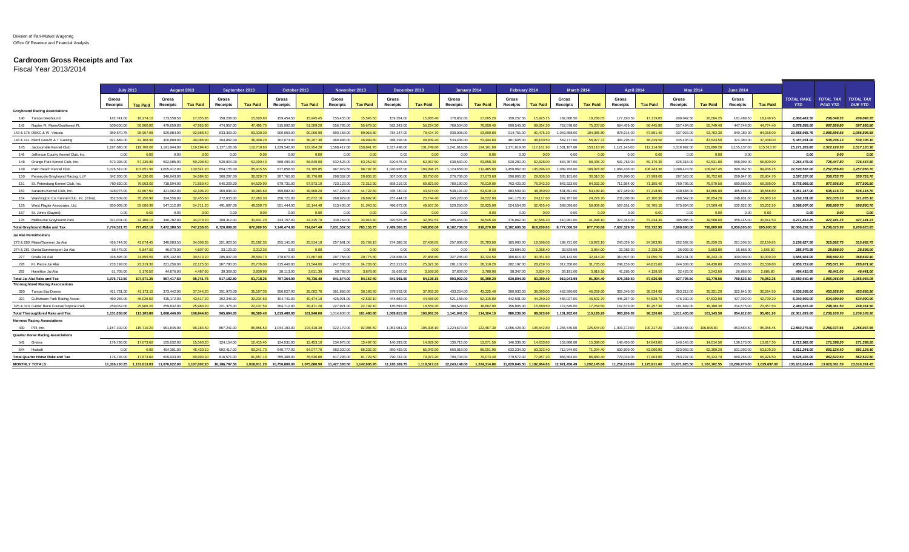## **Cardroom Gross Receipts and Tax**

Fiscal Year 2013/2014

|                                            | <b>July 2013</b>                |                 | August 2013              |                 | September 2013           |                 | October 2013             |                 | November 2013            |                  | December 2013            |                 | January 2014             |                 | February 2014     |                 | <b>March 2014</b>                          |                 | <b>April 2014</b> |                 | <b>May 2014</b>   |                 | <b>June 2014</b>         |                 |                                 |                                     |                                    |
|--------------------------------------------|---------------------------------|-----------------|--------------------------|-----------------|--------------------------|-----------------|--------------------------|-----------------|--------------------------|------------------|--------------------------|-----------------|--------------------------|-----------------|-------------------|-----------------|--------------------------------------------|-----------------|-------------------|-----------------|-------------------|-----------------|--------------------------|-----------------|---------------------------------|-------------------------------------|------------------------------------|
|                                            | <b>Gross</b><br><b>Receipts</b> | <b>Tax Paid</b> | Gross<br><b>Receipts</b> | <b>Tax Paid</b> | Gross<br><b>Receipts</b> | <b>Tax Paid</b> | Gross<br><b>Receipts</b> | <b>Tax Paid</b> | Gross<br><b>Receipts</b> | <b>Tax Paid</b>  | Gross<br><b>Receipts</b> | <b>Tax Paid</b> | Gross<br><b>Receipts</b> | <b>Tax Paid</b> | Gross<br>Receipts | <b>Tax Paid</b> | Gross<br><b>Receipts</b>                   | <b>Tax Paid</b> | Gross<br>Receipts | <b>Tax Paid</b> | Gross<br>Receipts | <b>Tax Paid</b> | Gross<br><b>Receipts</b> | <b>Tax Paid</b> | <b>TOTAL RAKE</b><br><b>YTD</b> | <b>TOTAL TAX</b><br><b>PAID YTD</b> | <b>TOTAL TAX</b><br><b>DUE YTD</b> |
| <b>Greyhound Racing Associations</b>       |                                 |                 |                          |                 |                          |                 |                          |                 |                          |                  |                          |                 |                          |                 |                   |                 |                                            |                 |                   |                 |                   |                 |                          |                 |                                 |                                     |                                    |
| 140 Tampa Greyhound                        | 182.741.00                      | 18.274.10       | 173,558,50               | 17,355.85       | 158,208.00               | 15,820.80       | 159 454 50               | 15.945.45       | 155,455,00               | 15,545,50        | 159,354.00               | 15,935.40       | 170,852.00               | 17.085.20       | 159,257.50        | 15.925.75       | 182,880.50                                 | 18.288.05       | 177.190.50        | 17.719.05       | 200.042.50        | 20.004.25       | 181.489.50               | 18,148.95       | 2.060.483.50                    | 206.048.35                          | 206,048.35                         |
| 142 Naples Ft. Myers/Southwest Fl          | 509,000.00                      | 50,900,00       | 479,659.00               | 47.965.90       | 474,957.00               | 47,495.70       | 515,092.00               | 51.509.20       | 556 795.00               | 55.679.50        | 562.243.00               | 56,224.30       | 769,504.00               | 76.950.40       | 690.543.00        | 69.054.30       | 752.078.00                                 | 75.207.80       | 664 459.00        | 66.445.90       | 557.494.00        | 55.749.40       | 447.744.00               | 44 774 AD       | 6,979,568.00                    | 697,956.80                          | 697.956.80                         |
| 143 & 175 DBKC & W. Volusia                | 959,570.75                      |                 | 929 884 00               | 92.988.40       | 833,303.00               | 83.330.30       | 900.069.00               | 90.006.90       | 890.158.00               | 89.015.80        | 784,247.00               | 78,424.70       | 938,008.00               | 93,800.80       | 914.751.00        | 91,475.10       | 1.043.858.00                               | 104,385,80      | 878.914.00        | 87.891.40       | 937,023.00        | 93.702.30       | 849.180.00               | 84,918,00       | 10.858.965.75                   | 1.085.896.58                        | 1.085.896.58                       |
| 144 & 141 Mardi Gras/H & T Gamin           | 421,689.00                      | 42.168.90       | 400,889.00               | 40,088.90       | 364,082.00               | 36,408.20       | 362.073.00               | 36,207,30       | 469,998.00               | <b>46,999.80</b> | 488.392.00               | 48.839.20       | 534,446.00               | 53 444 60       | 481,605.00        | 48.160.50       | 569,777,00                                 | 56.977.73       | 484.295.00        | 48.429.50       | 435.435.00        | 43,543.50       | 374,380.00               | 37,438.00       | 5.387.061.00                    | 538,706.13                          | 538,706.10                         |
| 145 Jacksonville Kennel Club               | 1.197.080.00                    | 119,708.00      | 1.191.944.00             | 119,194.40      | 1.127.106.00             | 112.710.60      | 1.229.542.00             | 122.954.20      | 1.568.417.00             | 156,841.70       | 1.317.498.00             | 131.749.80      | 1.241.616.00             | 124.161.60      | 1.171.619.00      | 117, 161, 90    | 1.531.107.00                               | 153,110.70      | 1.121.145.00      | 112.114.50      | 1.318.992.00      | 131.899.20      | 1.155.137.00             | 115,513,70      | 15.171.203.00                   | 1,517,120,30                        | 1.517.120.30                       |
| 146 Jefferson County Kennel Club, Inc.     | 0.00                            | 0.00            | 0.00                     | 0.00            | 0.00                     | 0.00            | 0.00                     | 0.00            | 0.00                     | 0.00             | 0.00                     | 0.00            | 0.00                     | 0.01            | 0.00              | 0.00            | 0.00                                       | 0.00            | 0.00              | 0.00            | 0.00              | 0.00            | 0.00                     |                 | 0.00                            | 0.00                                | 0.00                               |
| 148 Orange Park Kennel Club, Inc.          | 573.398.00                      | 57.339.80       | 592,085,00               | 59.208.50       | 520,904.00               | 52.090.40       | 588,490.00               | 58.849.00       | 632,526,00               | 63.252.60        | 620,675.00               | 62.067.50       | 638,583.00               | 63.858.30       | 628.280.00        | 62.828.00       | 684,357.00                                 | 68.435.70       | 591.763.00        | 59.176.30       | 625.318.00        | 62.531.80       | 568,099.00               | 56,809.90       | 7.264.478.00                    | 726.447.80                          | 726,447.80                         |
| 149 Palm Beach Kennel Club                 | 1.076.519.00                    | 107 651 90      | 1.005.412.00             | 100.541.20      | 854,155.00               | 85.415.55       | 877,858.50               | 37.785.85       | 967.979.50               | <b>GG 7G7 GF</b> | 1.040.987.00             | 104.098.75      | 1.124.658.00             | 12 465 80       | .450.962.00       | 145,096.20      | 1.089.766.00                               | 108.976.60      | 1.084.433.00      | 108.443.30      | .098.474.50       | 109.847.45      | 899.362.50               | 89,936.25       | 12.570.567.00                   | .257.056.80                         | 1.257.056.70                       |
| 150 Pensacola Greyhound Racing, LLP        | 342.300.00                      | 34.230.00       | 346,843,00               | 34.684.30       | 300.297.00               | 30,029.70       | 287,760.00               | 28.776.00       | 298,362.00               | 29,836,20        | 307.506.00               | 30,750.60       | 276,736.00               | 27,673,60       | 296.065.00        | 29,606.50       | 305,105.00                                 | 30.510.50       | 279,990.00        | 27,999.00       | 287,526.00        | 28,752.60       | 269.047.00               | 26,904.7        | 3,597,537.00                    | 359,753.70                          | 359,753.70                         |
| 151 St. Petersburg Kennel Club, Inc        | 760.630.00                      | 76,063,00       | 718,594.00               | 71.859.40       | 645,209.00               | 64,520.90       | 679,731.00               | 67.973.10       | 723,123.00               | 72,312.30        | 698,216.00               | 69.821.60       | 780,190.00               | 78,019.00       | 763,423.00        | 76.342.30       | 843,323.00                                 | 84.332.30       | 711.954.00        | 71.195.40       | 769,795.00        | 76.979.50       | 680,880,00               | 68,088.0        | 8,775,068.00                    | 877,506.80                          | 877,506.80                         |
| 153 Sarasota Kennel Club, Inc.             | 428.075.00                      | 42,807.50       | 421.062.00               | 42.106.20       | 369,836,00               | 36,983,60       | 399.082.00               | 39.908.20       | 447.226.00               | 44,722.60        | 435.740.00               | 43.574.00       | 538,191.00               | 53,819.10       | 483,509.00        | 48.350.90       | 531,891.00                                 | 53,189.10       | 472.189.00        | 47.218.90       | 438,668,00        | 43.866.80       | 385,688,00               | 38,568.8        | 5.351.157.00                    | 535.115.70                          | 535.115.70                         |
| 154 Washington Co. Kennel Club, Inc. (Ebro | 352,509.00                      | 35,250.90       | 324,556.00               | 32,455.60       | 272,633.00               | 27,263.30       | 256,721.00               | 25,672.10       | 268,929.00               | 26,892.90        | 257.444.00               | 25,744.40       | 245,220.00               | 24,522.00       | 241.176.00        | 24.117.60       | 242,787.00                                 | 24.278.70       | 231.003.00        | 23.100.30       | 268,542.00        | 26.854.20       | 248.831.00               | 24,883.1        | 3.210.351.00                    | 321,035.10                          | 321,035.10                         |
| 155 West Flagler Associates, Ltd.          | 650,009.00                      | 65,000.90       | 547.112.00               | 54.711.20       | 491,097.00               | 49.109.70       | 551.444.00               | 55 144 40       | 513 405 00               | 51.340.50        | 496.673.00               | 49,667.30       | 529,250.00               | 52,925.00       | 524 554 00        | 52 455 40       | 589,096,00                                 | 58.909.60       | 567.651.00        | 56.765.10       | 575.694.00        | 57.569.40       | 532.022.00               | 53,202.20       | 6,568,007,00                    | 656,800.70                          | 656,800.70                         |
| 157 St. Johns (Bayard)                     | 0.00                            |                 | 0.00                     | 0.00            | 0.00                     | 0.00            | 0.0                      | 0.00            | 0.00                     | 0.00             | 0.00                     | 0.00            | 0.00                     | 0.01            |                   |                 | 0.01                                       | 0.00            | 0.00              | 0.00            | 0.00              | 0.00            |                          | 0.00            | 0.00                            | 0.00                                | 0.00                               |
| 176 Melbourne Grevhound Park               | 321.001.00                      |                 | 340.782.00               | 34.078.20       |                          | 30.831.20       | 333.157.00               | 33.315.70       | 339.164.00               | 33.916.40        | 320.525.25               | 32.052.53       | 395 454.00               | 39.545.40       | 376,862.00        | 37 686 20       | 410.981.00                                 | 41.098.10       | 372.343.00        | 37.234.30       | 395,086,00        | 19 ROB 60       | 358.145.00               | 35.814.5        | 4.271.812.25                    | 427.181.23                          | 427.181.23                         |
| <b>Total Greyhound Rake and Tax</b>        | 7.774.521.75                    | 777,452,18      | 7.472.380.50             | 747.238.05      | 6.720.099.00             | 672.009.95      | 7.140.474.00             | 714.047.40      | 7.831.537.50             | 783,153,75       | 7.489.500.25             | 748.950.08      | 8.182.708.00             | 818,270.80      | 8.182.606.50      | 818,260.65      | 8,777,006.50                               | 877.700.68      | 7.637.329.50      | 763,732.95      | 7.908.090.00      | 790,809,00      | 6.950.005.00             | 695,000.50      | 92.066.258.50                   | 9.206.625.99                        | 9.206.625.85                       |
| Jai Alai Permitholders                     |                                 |                 |                          |                 |                          |                 |                          |                 |                          |                  |                          |                 |                          |                 |                   |                 |                                            |                 |                   |                 |                   |                 |                          |                 |                                 |                                     |                                    |
| 273 & 280 Miami/Summer Jai Alai            | 416,744.50                      | 41 674 45       | 340.083.50               | 34.008.35       | 251,923,50               | 25.192.35       | 255.141.00               | 25.514.10       | 257,691.00               | 25,769.10        | 274.388.50               | 27,438.85       | 257,836,00               | 25.783.60       | 185,960.00        | 18,596.00       | 199.721.00                                 | 19.972.10       | 243.039.50        | 24.303.95       | 252.592.50        | 25,259.25       | 221.506.50               | 22.150.65       | 3.156.627.50                    | 315.662.75                          | 315.662.75                         |
| 274 & 281 Dania/Summersport Jai Ala        | 58,475.00                       | 5.847.50        | 46.070.00                | 4,607.00        | 33,123,00                | 3.312.30        | 0.00                     | 0.00            | 0.00                     | 0.00             | 0.00                     | 0.00            | 0.00                     | 0.00            | 23,684.00         | 2.368.40        | 39,539.99                                  | 3.954.00        | 33,382.00         | 3.338.20        | 36,038.00         | 3.603.80        | 15,668.00                | 1,566.80        | 285.979.99                      | 28,598.00                           | 28,598.00                          |
| 277 Ocala Jai Alai                         | 316,595.00                      | 31.659.50       | 305.132.00               | 30.513.20       | 285,047.00               | 28.504.70       | 278,670.00               | 7.867.00        | 297,758.00               | 29.775.80        | 278,688.00               | 27,868.80       | 327.245.00               | 32.724.50       | 300,616.00        | 30,061.60       | 324.142.00                                 | 32 414 20       | 310,507.00        | 31.050.70       | 362.431.00        | 36.243.10       | 300.093.00               | 30,009.30       | 3.686.924.00                    | 368,692.40                          | 368.692.40                         |
| 278 Ft. Pierce Jai Alai                    | 233.193.00                      | 23.319.30       | 221.256.00               | 22.125.60       | 207,780.00               | 20.778.00       | 215 440.00               | 21.544.00       | 247,336.00               | 24.733.60        | 253.213.00               | 25.321.30       | 281.102.00               | 28.110.20       | 282.197.00        | 28.219.70       | 317,350.00                                 | 31.735.00       | 248.156.00        | 24 815 60       | 244,308.00        | 24.430.80       | 205,388.00               | 20.538.80       | 2.956.719.00                    | 295.671.90                          | 295.671.90                         |
| 282 Hamiliton Jai Alai                     | 51.705.00                       | 5.170.50        | 44 876 0C                | 4.487.60        | 39 309 UL                | 3.930.90        | 38.113.00                | 3811.30         | 38.789.00                | 3 878 Q          | 35.692.00                | 3,569.20        | 37,809.00                | 3.780.90        | 38 347 00         | 3.834.70        | 39.191.00                                  | 3.919.10        | 41.285.00         | 4.128.50        | 32.426.00         | 3.242.60        | 26,868.00                | 2.686.80        | 464.410.00                      | 46.441.00                           | 46,441.00                          |
| <b>Total Jai Alai Rake and Tax</b>         | 1.076.712.50                    | 107.671.25      | 957.417.50               | 95,741.75       | 817,182.50               | 81,718.25       | 787.364.00               | 78,736.40       | 841.574.00               | 84.157.40        | 841.981.50               | 84,198.15       | 903.992.00               | 90.399.20       | 830.804.00        | 83,080,40       | 919,943.99                                 | 91.994.40       | 876.369.50        | 87.636.95       | 927,795.50        | 92.779.55       | 769.523.50               | 76.952.35       | 10,550,660.49                   | 1.055.066.05                        | 1.055.066.05                       |
| <b>Thoroughbred Racing Associations</b>    |                                 |                 |                          |                 |                          |                 |                          |                 |                          |                  |                          |                 |                          |                 |                   |                 |                                            |                 |                   |                 |                   |                 |                          |                 |                                 |                                     |                                    |
| 320 Tampa Bay Downs                        | 411.731.00                      |                 | 373,442.00               | 37,344.20       | 351.973.00               | 35,197.30       | 350.027.00               | 35,002.70       | 361,866,00               | 36,186,60        | 379.553.00               | 37,955,30       | 433.254.00               | 43.325.40       | 380,930.00        | 38,093,00       | 462.590.00                                 | 46.259.00       | 355,346.00        | 35.534.60       | 353,212.00        | 35,321.20       | 322.645.00               | 32,264.50       | 4,536,569.00                    | 453.656.90                          | 453,656.90                         |
| 321 Gulfstream Park Racing Assoc.          | 460.265.00                      | 46.026.50       | 435.172.00               | 43.517.20       | 392,346.00               | 39.234.60       | 404.741.00               | 40.474.10       | 425.021.00               | 42,502.10        | 444.669.00               | 44,466.90       | 521.158.00               | 52.115.80       | 442,501.00        | 44.250.10       | 466.027.00                                 | 46.602.70       | 445.287.00        | 44.528.70       | 476.330.00        | 47,633,00       | 427.392.00               | 42,739.20       | 5,340,909.00                    | 534.090.90                          | 534,090.90                         |
| 325 & 323 Calder Race Course/Tropical Park | 259,062.00                      | 25,906.2        | 259,832.00               | 25.983.20       | 221,375.00               | 22.137.50       | 264,712.00               | 26.471.20       | 227,921.00               | 22,792.10        | 185,593,00               | 18,559,30       | 186,629.00               | 18,662.90       | 156,805.00        | 15,680.50       | 172,645.00                                 | 17.264.50       | 162.573.00        | 16.257.30       | 181,893.00        | 18.189.30       | 204,575.00               | 20,457.5        | 2,483,615.00                    | 248,361.50                          | 248,361.50                         |
| <b>Total Thoroughbred Rake and Tax</b>     | 1.131.058.00                    | 113,105,80      | 1.068.446.00             | 106.844.60      | 965.694.00               | 96,569,40       | 1.019.480.00             | 101.948.00      | 1.014.808.00             | 101.480.80       | 1.009.815.00             | 100.981.50      | 1.141.041.00             | 114.104.10      | 980.236.00        | 98.023.60       | 1.101.262.00                               | 110.126.20      | 963.206.00        | 96.320.60       | 1.011.435.00      | 101.143.50      | 954.612.00               | 95.461.20       | 12.361.093.00                   | 1.236.109.30                        | 1,236,109.30                       |
| <b>Harness Racing Associations</b>         |                                 |                 |                          |                 |                          |                 |                          |                 |                          |                  |                          |                 |                          |                 |                   |                 |                                            |                 |                   |                 |                   |                 |                          |                 |                                 |                                     |                                    |
| 430 PPI, Inc                               | 1.157.102.00                    | 115,710.20      | 961,845.00               | 96.184.50       | 867,241.00               | 86,856,50       | 1.044.183.00             | 104,418.30      | 922,179.00               | 92.085.50        | 1.053.081.00             | 105,308.10      | 1,224,673.00             | 122.467.30      | 1,056,428.00      | 105,642.80      | 1.256.440.00                               | 125,644.00      | 1.003.172.00      | 100.317.20      | 1.060.468.00      | 106,046.80      | 953,564.50               | 95,356.45       | 12,560,376,50                   | 1.256.037.65                        | 1,256,037.65                       |
| <b>Quarter Horse Racing Associations</b>   |                                 |                 |                          |                 |                          |                 |                          |                 |                          |                  |                          |                 |                          |                 |                   |                 |                                            |                 |                   |                 |                   |                 |                          |                 |                                 |                                     |                                    |
| 542 Gretna                                 | 176,736.00                      | 17.673.60       | 155.632.00               | 15.563.20       | 124.154.00               | 12.415.40       | 124.531.00               | 12.453.10       | 134,975.00               | 13 497 50        | 140.293.00               | 14.029.30       | 130,715.00               | 13.071.50       | 146,338.00        | 14,633.80       | 153,860.00                                 | 15.386.00       | 148,430.00        | 14.843.00       | 140.145.00        | 14.014.50       | 138,173,00               | 13,817.30       | 1,713,982.00                    | 171.398.20                          | 171.398.20                         |
| 544 Hialeah                                | 0.00                            | 0.00            | 454,301.00               | 45,430,10       | 692.417.00               | 69.241.70       | 640,777,00               | 64.077.70       | 682.320.00               | 68.232.00        | 650.439.00               | 65.043.90       | 660.019.00               | 66,001.90       | 633.234.00        | 63.323.40       | 712,944.00                                 | 71.294.40       | 630,609.00        | 63.060.91       | 623.092.00        | 62.309.20       | 531.092.00               | 53,109.21       | 6.911.244.00                    | 691.124.40                          | 691.124.40                         |
| <b>Total Quarter Horse Rake and Tax</b>    | 176,736.00                      |                 | 609,933,00               | 60.993.30       | 816,571.00               | 81.657.10       | 765,308.00               | 76.530.80       | 817,295.00               | 81.729.50        | 790.732.00               | 79.073.20       | 790.734.00               | 79.073.40       | 779,572.00        | 77.957.20       | 866,804.00                                 | 86,680.40       | 779,039.00        | 77,903.90       | 763.237.00        | 76.323.70       | 669,265.00               | 66.926.50       | 8.625.226.00                    | 862.522.60                          | 862,522.60                         |
| <b>MONTHLY TOTALS</b>                      | 11.316.130.25                   | 1.131.613.03    | 11.070.022.00            | 1.107.002.20    | 10.186.787.50            | 1.018.811.20    | 10.756.809.00            | 1.075.680.90    | 11.427.393.50            | 1.142.606.95     | 11.185.109.75            | 1.118.511.03    | 12.243.148.00            | 1.224.314.80    |                   |                 | 11.829.646.50  1.182.964.65  12.921.456.49 | 1.292.145.68    | 11.259.116.00     | 1.125.911.60    | 11.671.025.50     | 1.167.102.55    | 10.296.970.00            | 1.029.697.00    | 136, 163, 614, 49               | 13,616,361.59                       | 13.616.361.45                      |